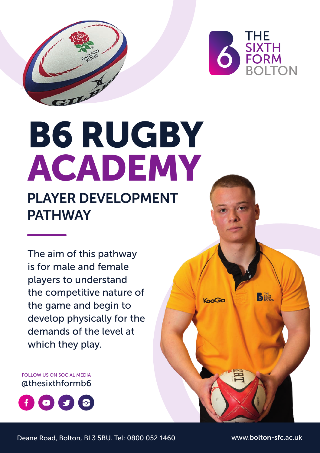



# B6 RUGBY ACADEMY PLAYER DEVELOPMENT **PATHWAY**

The aim of this pathway is for male and female players to understand the competitive nature of the game and begin to develop physically for the demands of the level at which they play.

#### FOLLOW US ON SOCIAL MEDIA @thesixthformb6



Deane Road, Bolton, BL3 5BU. Tel: 0800 052 1460 www.bolton-sfc.ac.uk

**6 Miles** 

KooGa